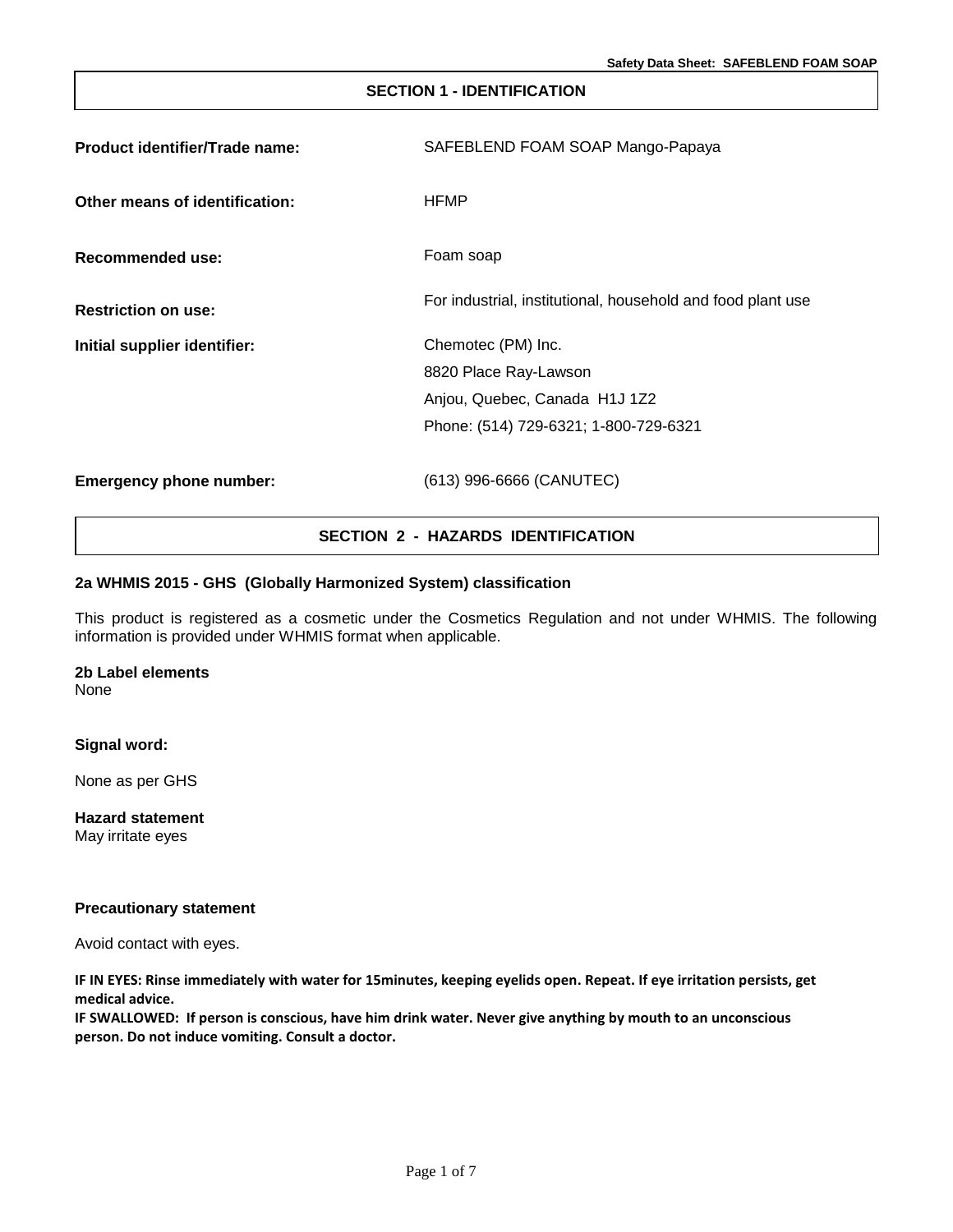# **SECTION 1 - IDENTIFICATION Product identifier/Trade name:** SAFEBLEND FOAM SOAP Mango-Papaya **Other means of identification: Recommended use:** HFMP Foam soap **Restriction on use:** For industrial, institutional, household and food plant use **Initial supplier identifier:** Chemotec (PM) Inc. 8820 Place Ray-Lawson Anjou, Quebec, Canada H1J 1Z2 Phone: (514) 729-6321; 1-800-729-6321 **Emergency phone number:** (613) 996-6666 (CANUTEC)

# **SECTION 2 - HAZARDS IDENTIFICATION**

# **2a WHMIS 2015 - GHS (Globally Harmonized System) classification**

This product is registered as a cosmetic under the Cosmetics Regulation and not under WHMIS. The following information is provided under WHMIS format when applicable.

# **2b Label elements**

None

#### **Signal word:**

None as per GHS

**Hazard statement** May irritate eyes

#### **Precautionary statement**

Avoid contact with eyes.

**IF IN EYES: Rinse immediately with water for 15minutes, keeping eyelids open. Repeat. If eye irritation persists, get medical advice.**

**IF SWALLOWED: If person is conscious, have him drink water. Never give anything by mouth to an unconscious person. Do not induce vomiting. Consult a doctor.**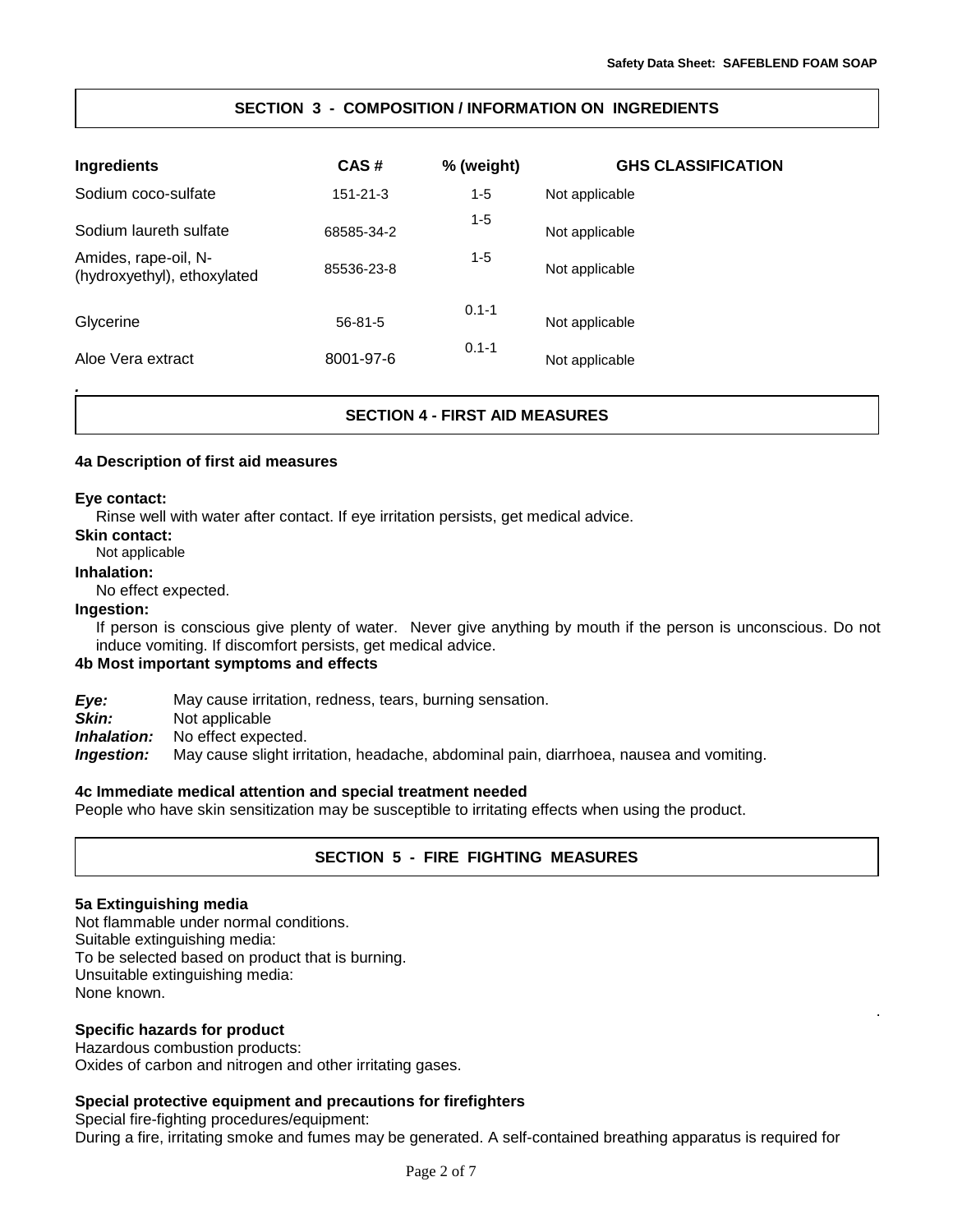.

# **SECTION 3 - COMPOSITION / INFORMATION ON INGREDIENTS**

| Ingredients                                         | CAS#           | % (weight) | <b>GHS CLASSIFICATION</b> |
|-----------------------------------------------------|----------------|------------|---------------------------|
| Sodium coco-sulfate                                 | $151 - 21 - 3$ | $1 - 5$    | Not applicable            |
| Sodium laureth sulfate                              | 68585-34-2     | 1-5        | Not applicable            |
| Amides, rape-oil, N-<br>(hydroxyethyl), ethoxylated | 85536-23-8     | 1-5        | Not applicable            |
| Glycerine                                           | $56 - 81 - 5$  | $0.1 - 1$  | Not applicable            |
| Aloe Vera extract                                   | 8001-97-6      | $0.1 - 1$  | Not applicable            |

# **SECTION 4 - FIRST AID MEASURES**

## **4a Description of first aid measures**

## **Eye contact:**

*.*

Rinse well with water after contact. If eye irritation persists, get medical advice.

# **Skin contact:**

Not applicable

# **Inhalation:**

No effect expected.

#### **Ingestion:**

If person is conscious give plenty of water. Never give anything by mouth if the person is unconscious. Do not induce vomiting. If discomfort persists, get medical advice.

# **4b Most important symptoms and effects**

*Eye:* May cause irritation, redness, tears, burning sensation.

**Skin:** Not applicable<br>**Inhalation:** No effect expe

No effect expected.

*Ingestion:* May cause slight irritation, headache, abdominal pain, diarrhoea, nausea and vomiting.

## **4c Immediate medical attention and special treatment needed**

People who have skin sensitization may be susceptible to irritating effects when using the product.

# **SECTION 5 - FIRE FIGHTING MEASURES**

## **5a Extinguishing media**

Not flammable under normal conditions. Suitable extinguishing media: To be selected based on product that is burning. Unsuitable extinguishing media: None known.

## **Specific hazards for product**

Hazardous combustion products: Oxides of carbon and nitrogen and other irritating gases.

## **Special protective equipment and precautions for firefighters**

Special fire-fighting procedures/equipment:

During a fire, irritating smoke and fumes may be generated. A self-contained breathing apparatus is required for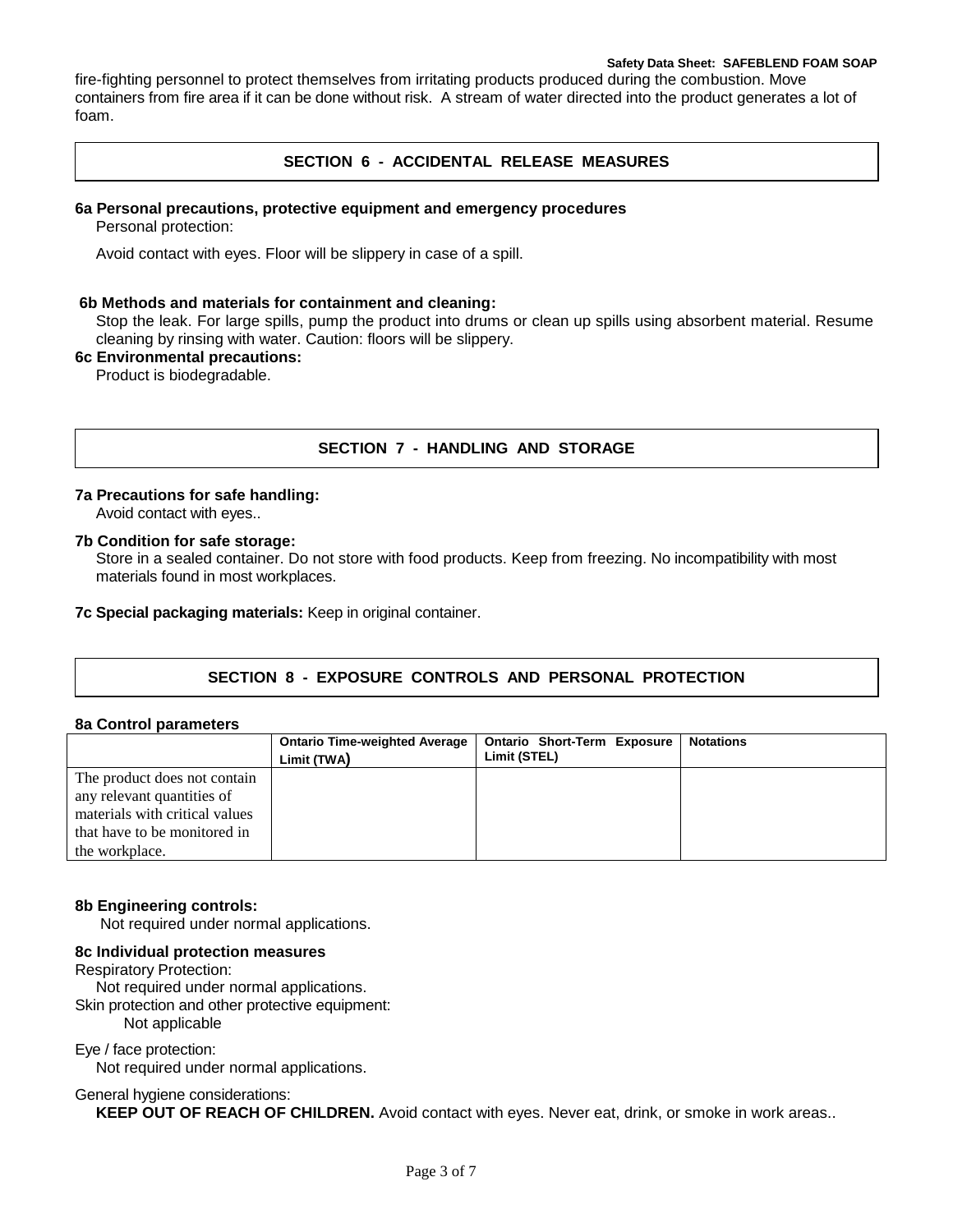#### **Safety Data Sheet: SAFEBLEND FOAM SOAP**

fire-fighting personnel to protect themselves from irritating products produced during the combustion. Move containers from fire area if it can be done without risk. A stream of water directed into the product generates a lot of foam.

# **SECTION 6 - ACCIDENTAL RELEASE MEASURES**

#### **6a Personal precautions, protective equipment and emergency procedures**

Personal protection:

Avoid contact with eyes. Floor will be slippery in case of a spill.

#### **6b Methods and materials for containment and cleaning:**

Stop the leak. For large spills, pump the product into drums or clean up spills using absorbent material. Resume cleaning by rinsing with water. Caution: floors will be slippery.

# **6c Environmental precautions:**

Product is biodegradable.

# **SECTION 7 - HANDLING AND STORAGE**

## **7a Precautions for safe handling:**

Avoid contact with eyes..

## **7b Condition for safe storage:**

Store in a sealed container. Do not store with food products. Keep from freezing. No incompatibility with most materials found in most workplaces.

**7c Special packaging materials:** Keep in original container.

# **SECTION 8 - EXPOSURE CONTROLS AND PERSONAL PROTECTION**

#### **8a Control parameters**

|                                | <b>Ontario Time-weighted Average</b> | <b>Ontario Short-Term Exposure</b> | <b>Notations</b> |
|--------------------------------|--------------------------------------|------------------------------------|------------------|
|                                | Limit (TWA)                          | Limit (STEL)                       |                  |
| The product does not contain   |                                      |                                    |                  |
| any relevant quantities of     |                                      |                                    |                  |
| materials with critical values |                                      |                                    |                  |
| that have to be monitored in   |                                      |                                    |                  |
| the workplace.                 |                                      |                                    |                  |

## **8b Engineering controls:**

Not required under normal applications.

## **8c Individual protection measures**

Respiratory Protection:

Not required under normal applications.

Skin protection and other protective equipment:

Not applicable

# Eye / face protection:

Not required under normal applications.

#### General hygiene considerations:

**KEEP OUT OF REACH OF CHILDREN.** Avoid contact with eyes. Never eat, drink, or smoke in work areas..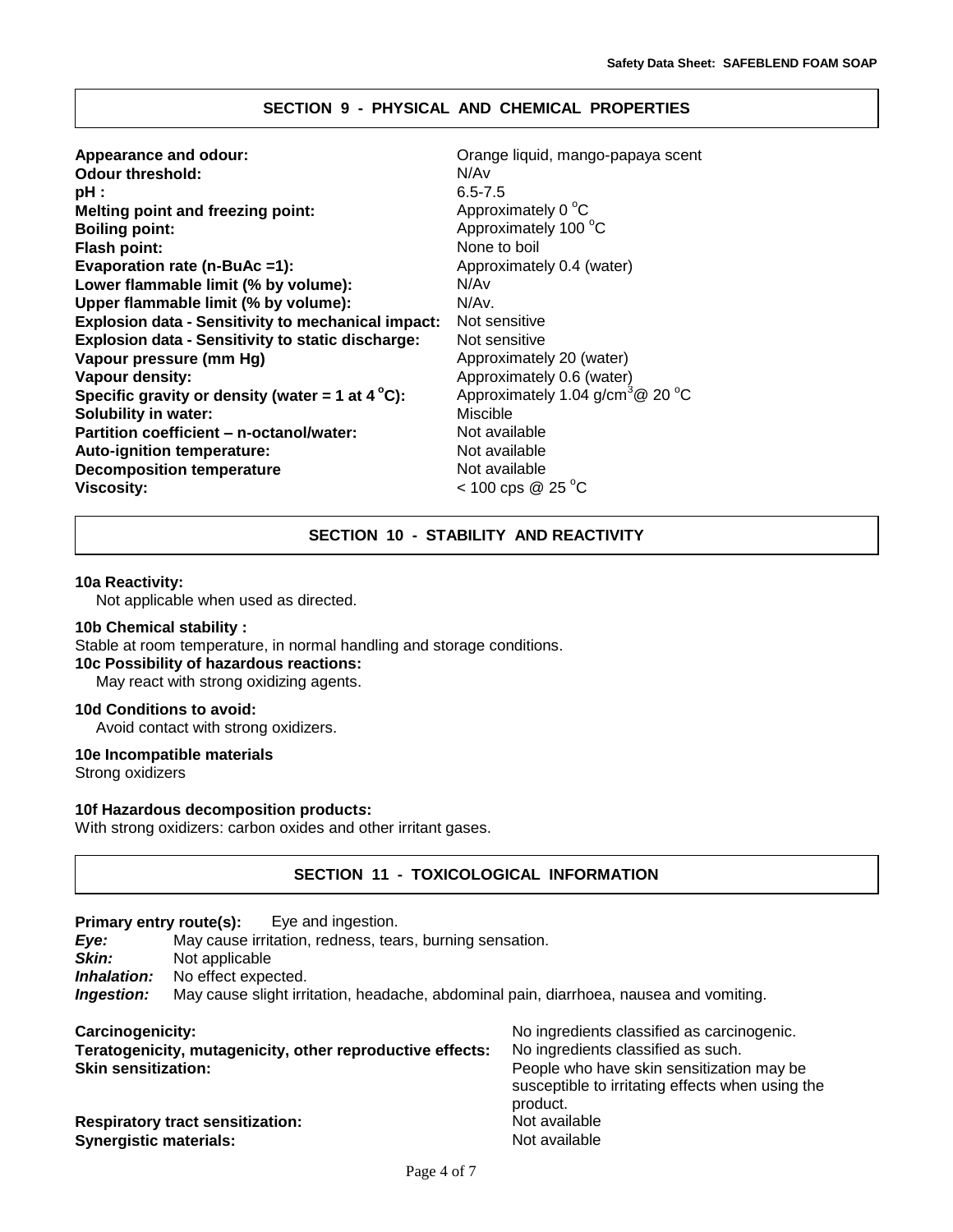## **SECTION 9 - PHYSICAL AND CHEMICAL PROPERTIES**

| Appearance and odour:                                     | Orange liquid, mango-papaya scent            |
|-----------------------------------------------------------|----------------------------------------------|
| <b>Odour threshold:</b>                                   | N/Av                                         |
| pH :                                                      | $6.5 - 7.5$                                  |
| Melting point and freezing point:                         | Approximately 0 °C                           |
| <b>Boiling point:</b>                                     | Approximately 100 °C                         |
| Flash point:                                              | None to boil                                 |
| Evaporation rate (n-BuAc =1):                             | Approximately 0.4 (water)                    |
| Lower flammable limit (% by volume):                      | N/Av                                         |
| Upper flammable limit (% by volume):                      | N/Av.                                        |
| <b>Explosion data - Sensitivity to mechanical impact:</b> | Not sensitive                                |
| <b>Explosion data - Sensitivity to static discharge:</b>  | Not sensitive                                |
| Vapour pressure (mm Hg)                                   | Approximately 20 (water)                     |
| Vapour density:                                           | Approximately 0.6 (water)                    |
| Specific gravity or density (water = 1 at $4^{\circ}$ C): | Approximately 1.04 g/cm <sup>3</sup> @ 20 °C |
| <b>Solubility in water:</b>                               | Miscible                                     |
| Partition coefficient – n-octanol/water:                  | Not available                                |
| Auto-ignition temperature:                                | Not available                                |
| <b>Decomposition temperature</b>                          | Not available                                |
| <b>Viscosity:</b>                                         | $< 100 \text{cps} \ @ 25 \degree C$          |
|                                                           |                                              |

# **SECTION 10 - STABILITY AND REACTIVITY**

#### **10a Reactivity:**

Not applicable when used as directed.

#### **10b Chemical stability :**

Stable at room temperature, in normal handling and storage conditions.

**10c Possibility of hazardous reactions:**

May react with strong oxidizing agents.

# **10d Conditions to avoid:**

Avoid contact with strong oxidizers.

#### **10e Incompatible materials**

Strong oxidizers

#### **10f Hazardous decomposition product***s***:**

With strong oxidizers: carbon oxides and other irritant gases.

## **SECTION 11 - TOXICOLOGICAL INFORMATION**

**Primary entry route(s):** Eye and ingestion.

| Eye:<br>Skin:                                                                                                                                     | May cause irritation, redness, tears, burning sensation.<br>Not applicable |                                            |
|---------------------------------------------------------------------------------------------------------------------------------------------------|----------------------------------------------------------------------------|--------------------------------------------|
| No effect expected.<br>Inhalation:<br>May cause slight irritation, headache, abdominal pain, diarrhoea, nausea and vomiting.<br><i>Ingestion:</i> |                                                                            |                                            |
| Carcinogenicity:                                                                                                                                  |                                                                            | No ingredients classified as carcinogenic. |

| Teratogenicity, mutagenicity, other reproductive effects: |  |
|-----------------------------------------------------------|--|
| <b>Skin sensitization:</b>                                |  |

| <b>Respiratory tract sensitization:</b> |  |
|-----------------------------------------|--|
| <b>Synergistic materials:</b>           |  |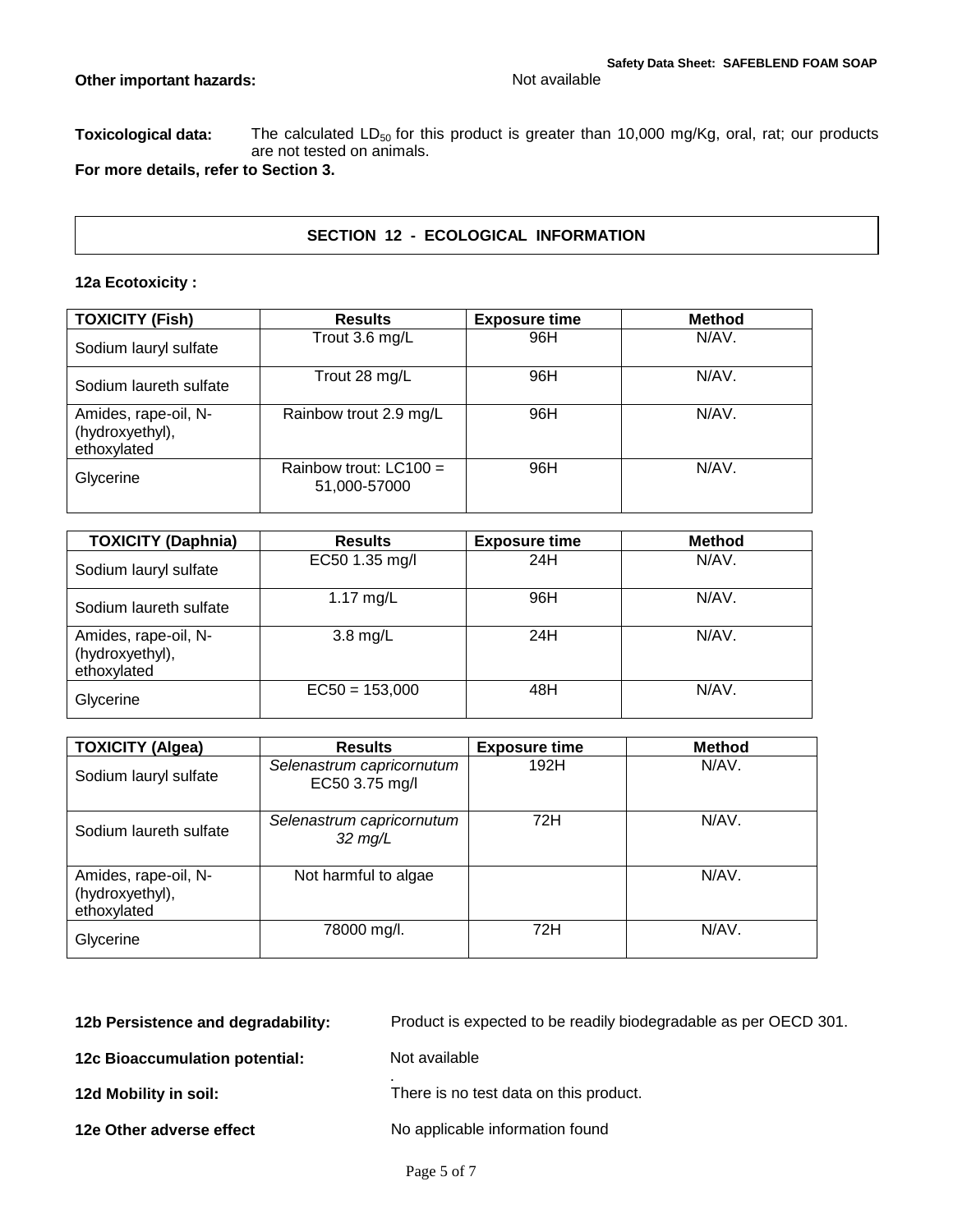Toxicological data: The calculated LD<sub>50</sub> for this product is greater than 10,000 mg/Kg, oral, rat; our products are not tested on animals.

**For more details, refer to Section 3.**

# **SECTION 12 - ECOLOGICAL INFORMATION**

# **12a Ecotoxicity :**

| <b>TOXICITY (Fish)</b>                                 | <b>Results</b>                           | <b>Exposure time</b> | <b>Method</b> |
|--------------------------------------------------------|------------------------------------------|----------------------|---------------|
| Sodium lauryl sulfate                                  | Trout 3.6 $mg/L$                         | 96H                  | N/AV.         |
| Sodium laureth sulfate                                 | Trout 28 mg/L                            | 96H                  | N/AV.         |
| Amides, rape-oil, N-<br>(hydroxyethyl),<br>ethoxylated | Rainbow trout 2.9 mg/L                   | 96H                  | N/AV.         |
| Glycerine                                              | Rainbow trout: $LC100 =$<br>51,000-57000 | 96H                  | N/AV.         |

| <b>TOXICITY (Daphnia)</b>                              | <b>Results</b>     | <b>Exposure time</b> | <b>Method</b> |
|--------------------------------------------------------|--------------------|----------------------|---------------|
| Sodium lauryl sulfate                                  | EC50 1.35 mg/l     | 24H                  | N/AV.         |
| Sodium laureth sulfate                                 | 1.17 $mg/L$        | 96H                  | N/AV.         |
| Amides, rape-oil, N-<br>(hydroxyethyl),<br>ethoxylated | $3.8 \text{ mg/L}$ | 24H                  | N/AV.         |
| Glycerine                                              | $EC50 = 153,000$   | 48H                  | N/AV.         |

| <b>TOXICITY (Algea)</b>                                | <b>Results</b>                                 | <b>Exposure time</b> | <b>Method</b> |
|--------------------------------------------------------|------------------------------------------------|----------------------|---------------|
| Sodium lauryl sulfate                                  | Selenastrum capricornutum<br>EC50 3.75 mg/l    | 192H                 | N/AV.         |
| Sodium laureth sulfate                                 | Selenastrum capricornutum<br>$32 \text{ mg/L}$ | 72H                  | N/AV.         |
| Amides, rape-oil, N-<br>(hydroxyethyl),<br>ethoxylated | Not harmful to algae                           |                      | N/AV.         |
| Glycerine                                              | 78000 mg/l.                                    | 72H                  | N/AV.         |

| 12b Persistence and degradability: | Product is expected to be readily biodegradable as per OECD 301. |
|------------------------------------|------------------------------------------------------------------|
| 12c Bioaccumulation potential:     | Not available                                                    |
| 12d Mobility in soil:              | There is no test data on this product.                           |
| 12e Other adverse effect           | No applicable information found                                  |
|                                    |                                                                  |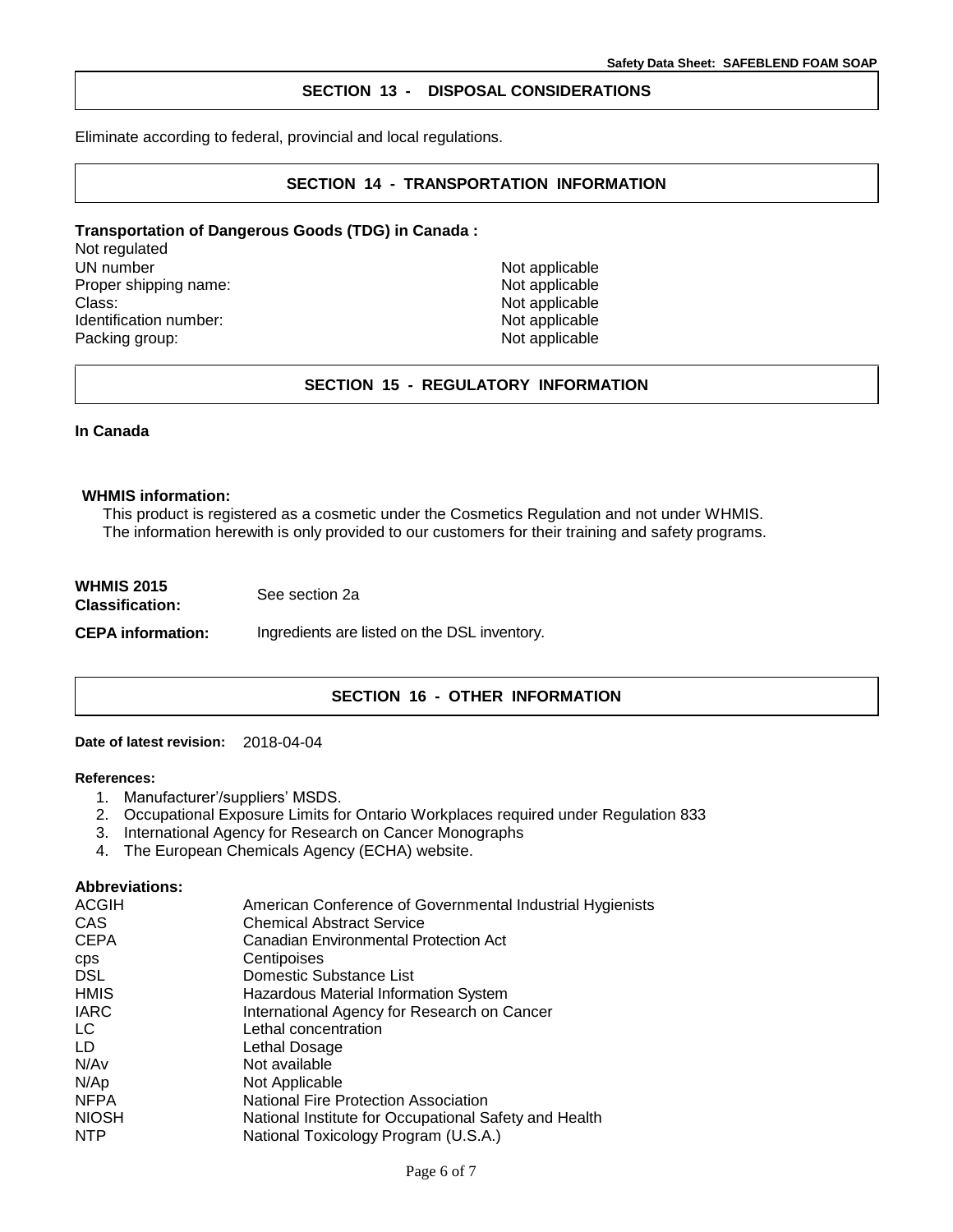## **SECTION 13 - DISPOSAL CONSIDERATIONS**

Eliminate according to federal, provincial and local regulations.

# **SECTION 14 - TRANSPORTATION INFORMATION**

# **Transportation of Dangerous Goods (TDG) in Canada :**

Not regulated UN number<br>
Proper shipping name:<br>
Proper shipping name:<br>
Not applicable Proper shipping name: Class: Not applicable Identification number: Not applicable Packing group: Not applicable

# **SECTION 15 - REGULATORY INFORMATION**

#### **In Canada**

#### **WHMIS information:**

This product is registered as a cosmetic under the Cosmetics Regulation and not under WHMIS. The information herewith is only provided to our customers for their training and safety programs.

| <b>WHMIS 2015</b><br><b>Classification:</b> | See section 2a                               |
|---------------------------------------------|----------------------------------------------|
| <b>CEPA</b> information:                    | Ingredients are listed on the DSL inventory. |

# **SECTION 16 - OTHER INFORMATION**

#### **Date of latest revision:** 2018-04-04

### **References:**

- 1. Manufacturer'/suppliers' MSDS.
- 2. Occupational Exposure Limits for Ontario Workplaces required under Regulation 833
- 3. International Agency for Research on Cancer Monographs
- 4. The European Chemicals Agency (ECHA) website.

#### **Abbreviations:**

| <b>ACGIH</b> | American Conference of Governmental Industrial Hygienists |
|--------------|-----------------------------------------------------------|
| <b>CAS</b>   | <b>Chemical Abstract Service</b>                          |
| <b>CEPA</b>  | Canadian Environmental Protection Act                     |
| <b>CDS</b>   | Centipoises                                               |
| <b>DSL</b>   | Domestic Substance List                                   |
| HMIS         | Hazardous Material Information System                     |
| <b>IARC</b>  | International Agency for Research on Cancer               |
| LC.          | Lethal concentration                                      |
| LD           | Lethal Dosage                                             |
| N/Av         | Not available                                             |
| N/Ap         | Not Applicable                                            |
| <b>NFPA</b>  | National Fire Protection Association                      |
| <b>NIOSH</b> | National Institute for Occupational Safety and Health     |
| <b>NTP</b>   | National Toxicology Program (U.S.A.)                      |